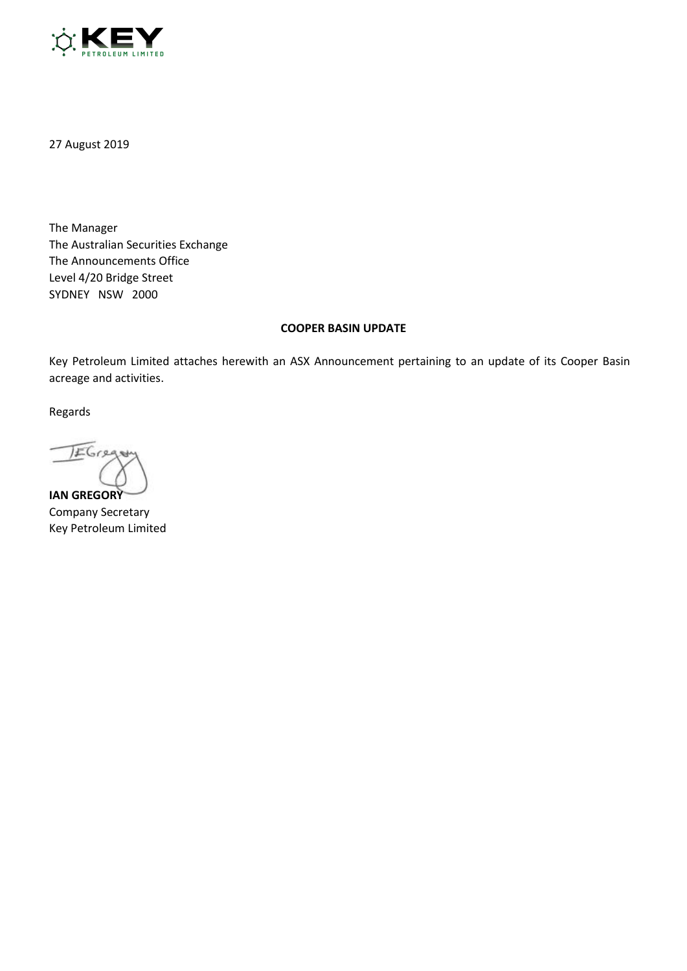

27 August 2019

The Manager The Australian Securities Exchange The Announcements Office Level 4/20 Bridge Street SYDNEY NSW 2000

## **COOPER BASIN UPDATE**

Key Petroleum Limited attaches herewith an ASX Announcement pertaining to an update of its Cooper Basin acreage and activities.

Regards

**IEGreau IAN GREGORY**

Company Secretary Key Petroleum Limited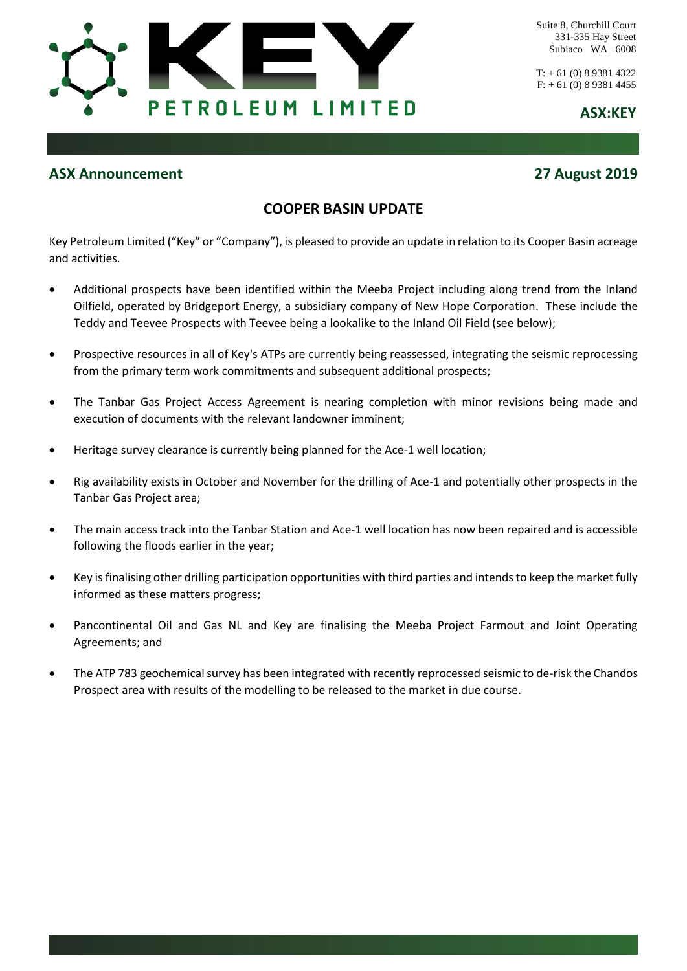

Suite 8, Churchill Court 331-335 Hay Street Subiaco WA 6008

 $T: +61(0) 8 9381 4322$  $F: +61(0)893814455$ 

**ASX:KEY**

## **ASX Announcement 27 August 2019**

# **COOPER BASIN UPDATE**

Key Petroleum Limited ("Key" or "Company"), is pleased to provide an update in relation to its Cooper Basin acreage and activities.

- Additional prospects have been identified within the Meeba Project including along trend from the Inland Oilfield, operated by Bridgeport Energy, a subsidiary company of New Hope Corporation. These include the Teddy and Teevee Prospects with Teevee being a lookalike to the Inland Oil Field (see below);
- Prospective resources in all of Key's ATPs are currently being reassessed, integrating the seismic reprocessing from the primary term work commitments and subsequent additional prospects;
- The Tanbar Gas Project Access Agreement is nearing completion with minor revisions being made and execution of documents with the relevant landowner imminent;
- Heritage survey clearance is currently being planned for the Ace-1 well location;
- Rig availability exists in October and November for the drilling of Ace-1 and potentially other prospects in the Tanbar Gas Project area;
- The main access track into the Tanbar Station and Ace-1 well location has now been repaired and is accessible following the floods earlier in the year;
- Key is finalising other drilling participation opportunities with third parties and intends to keep the market fully informed as these matters progress;
- Pancontinental Oil and Gas NL and Key are finalising the Meeba Project Farmout and Joint Operating Agreements; and
- The ATP 783 geochemical survey has been integrated with recently reprocessed seismic to de-risk the Chandos Prospect area with results of the modelling to be released to the market in due course.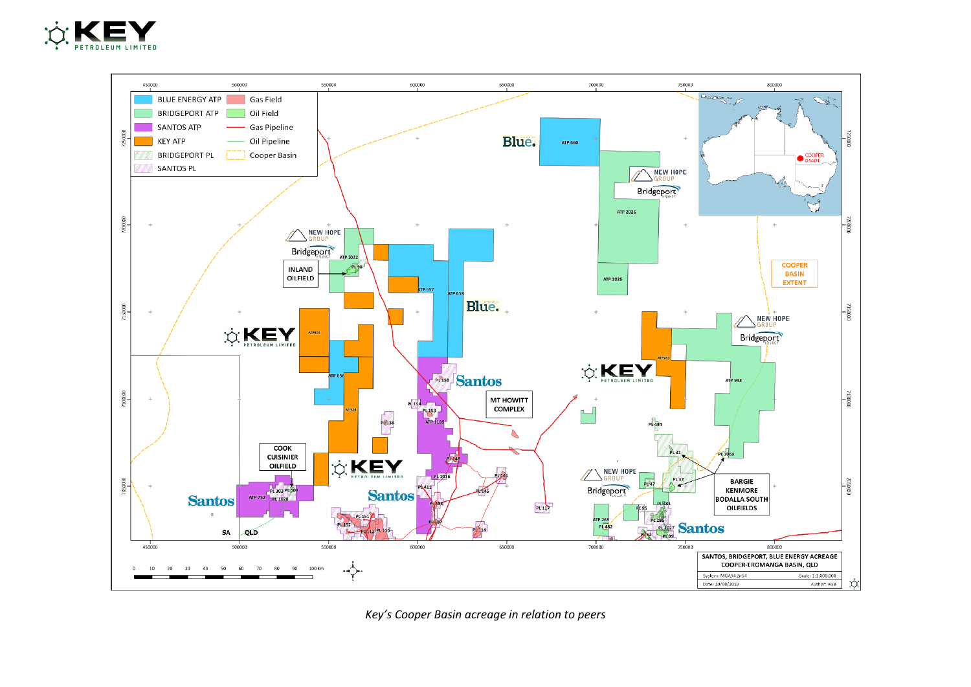



*Key's Cooper Basin acreage in relation to peers*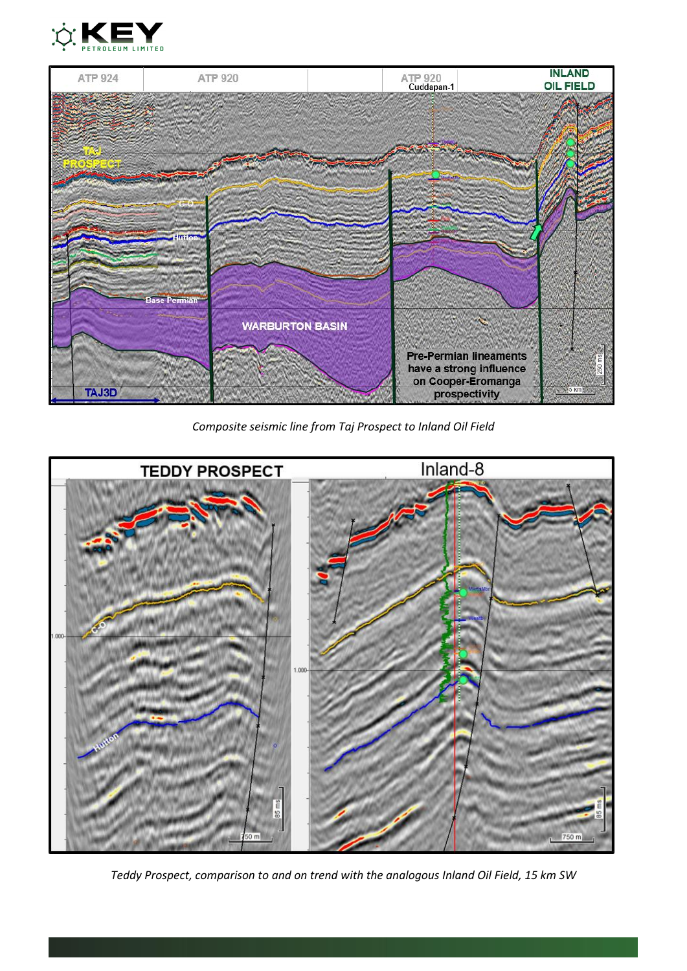



*Composite seismic line from Taj Prospect to Inland Oil Field*



*Teddy Prospect, comparison to and on trend with the analogous Inland Oil Field, 15 km SW*